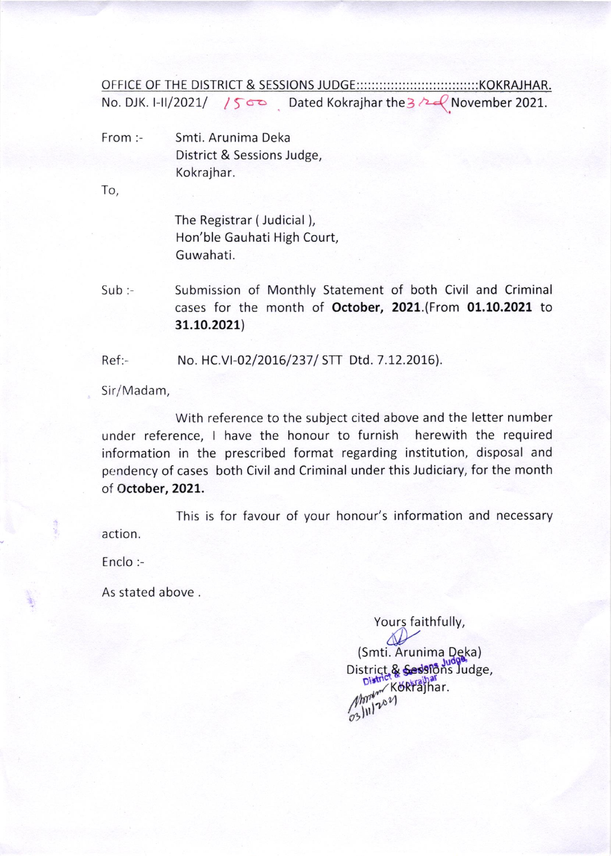OFFICE OF THE DISTRICT & SESSIONS JUDGE::::::::::::::::::::::::::::::::KOKRAJHAR. No. DJK. I-II/2021/  $1500$  Dated Kokrajhar the 3  $\sim$  November 2021.

- From:- Smti. Arunima Deka District & Sessions Judge, Kokrajhar.

To,

The Registrar (Judicial), Hon'ble Gauhati High Court, Guwahati.

Sub:- Submission of Monthly Statement of both Civil and Criminal cases for the month of October, 2021.(From 01.10.2021 to 31.10.2021)

Ref:- No. HC.VI-02/2016/237/ STT Dtd. 7.12.2016).

Sir/Madam,

With reference to the subject cited above and the letter number under reference, I have the honour to furnish herewith the required information in the prescribed format regarding institution, disposal and pendency of cases both Civil and Criminal under this Judiciary, for the month of October, 2021.

This is for favour of your honour's information and necessary action.

Enclo:-

As stated above .

Yours faithfully, (Smti. Arunima Deka) District & Sessions Judge, Apply Körfajhar.